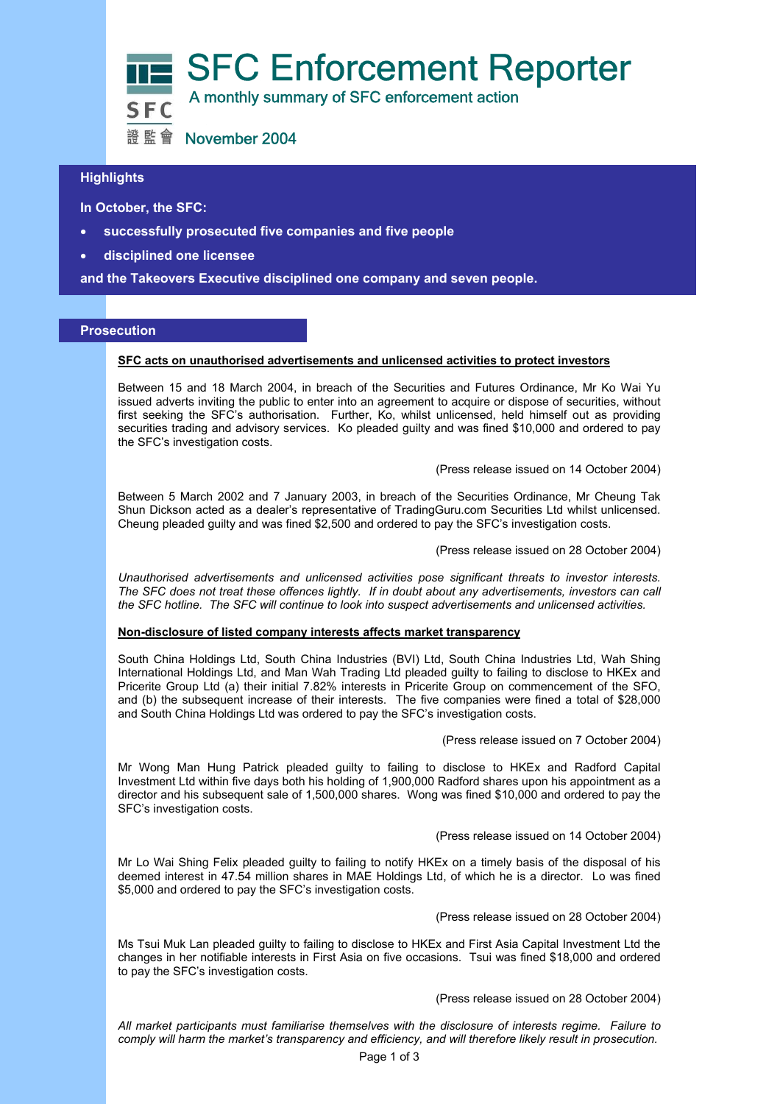

## **Highlights**

 **In October, the SFC:** 

- **successfully prosecuted five companies and five people**
- **disciplined one licensee**

**and the Takeovers Executive disciplined one company and seven people.** 

### **Prosecution**

#### **SFC acts on unauthorised advertisements and unlicensed activities to protect investors**

Between 15 and 18 March 2004, in breach of the Securities and Futures Ordinance, Mr Ko Wai Yu issued adverts inviting the public to enter into an agreement to acquire or dispose of securities, without first seeking the SFC's authorisation. Further, Ko, whilst unlicensed, held himself out as providing securities trading and advisory services. Ko pleaded guilty and was fined \$10,000 and ordered to pay the SFC's investigation costs.

(Press release issued on 14 October 2004)

Between 5 March 2002 and 7 January 2003, in breach of the Securities Ordinance, Mr Cheung Tak Shun Dickson acted as a dealer's representative of TradingGuru.com Securities Ltd whilst unlicensed. Cheung pleaded guilty and was fined \$2,500 and ordered to pay the SFC's investigation costs.

(Press release issued on 28 October 2004)

*Unauthorised advertisements and unlicensed activities pose significant threats to investor interests. The SFC does not treat these offences lightly. If in doubt about any advertisements, investors can call the SFC hotline. The SFC will continue to look into suspect advertisements and unlicensed activities.* 

#### **Non-disclosure of listed company interests affects market transparency**

South China Holdings Ltd, South China Industries (BVI) Ltd, South China Industries Ltd, Wah Shing International Holdings Ltd, and Man Wah Trading Ltd pleaded guilty to failing to disclose to HKEx and Pricerite Group Ltd (a) their initial 7.82% interests in Pricerite Group on commencement of the SFO, and (b) the subsequent increase of their interests. The five companies were fined a total of \$28,000 and South China Holdings Ltd was ordered to pay the SFC's investigation costs.

(Press release issued on 7 October 2004)

Mr Wong Man Hung Patrick pleaded guilty to failing to disclose to HKEx and Radford Capital Investment Ltd within five days both his holding of 1,900,000 Radford shares upon his appointment as a director and his subsequent sale of 1,500,000 shares. Wong was fined \$10,000 and ordered to pay the SFC's investigation costs.

(Press release issued on 14 October 2004)

Mr Lo Wai Shing Felix pleaded guilty to failing to notify HKEx on a timely basis of the disposal of his deemed interest in 47.54 million shares in MAE Holdings Ltd, of which he is a director. Lo was fined \$5,000 and ordered to pay the SFC's investigation costs.

(Press release issued on 28 October 2004)

Ms Tsui Muk Lan pleaded guilty to failing to disclose to HKEx and First Asia Capital Investment Ltd the changes in her notifiable interests in First Asia on five occasions. Tsui was fined \$18,000 and ordered to pay the SFC's investigation costs.

(Press release issued on 28 October 2004)

*All market participants must familiarise themselves with the disclosure of interests regime. Failure to comply will harm the market's transparency and efficiency, and will therefore likely result in prosecution.*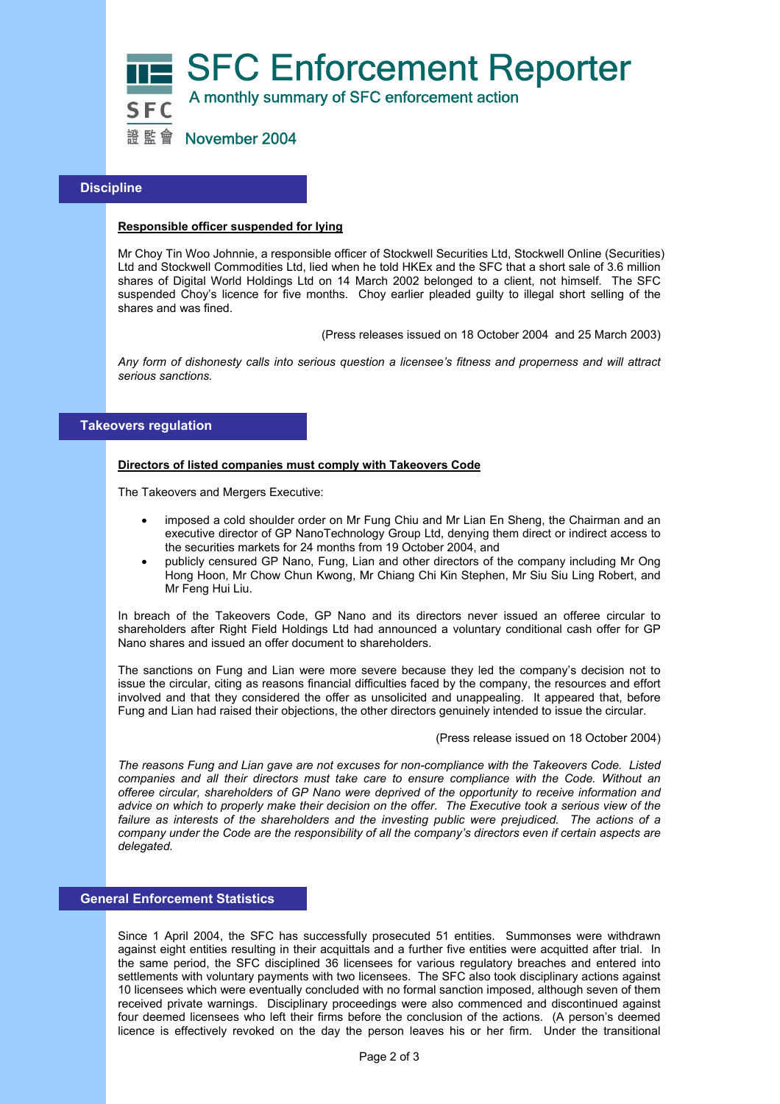

## **Discipline**

### **Responsible officer suspended for lying**

Mr Choy Tin Woo Johnnie, a responsible officer of Stockwell Securities Ltd, Stockwell Online (Securities) Ltd and Stockwell Commodities Ltd, lied when he told HKEx and the SFC that a short sale of 3.6 million shares of Digital World Holdings Ltd on 14 March 2002 belonged to a client, not himself. The SFC suspended Choy's licence for five months. Choy earlier pleaded guilty to illegal short selling of the shares and was fined.

(Press releases issued on 18 October 2004 and 25 March 2003)

*Any form of dishonesty calls into serious question a licensee's fitness and properness and will attract serious sanctions.* 

# **Takeovers regulation**

### **Directors of listed companies must comply with Takeovers Code**

The Takeovers and Mergers Executive:

- imposed a cold shoulder order on Mr Fung Chiu and Mr Lian En Sheng, the Chairman and an executive director of GP NanoTechnology Group Ltd, denying them direct or indirect access to the securities markets for 24 months from 19 October 2004, and
- publicly censured GP Nano, Fung, Lian and other directors of the company including Mr Ong Hong Hoon, Mr Chow Chun Kwong, Mr Chiang Chi Kin Stephen, Mr Siu Siu Ling Robert, and Mr Feng Hui Liu.

In breach of the Takeovers Code, GP Nano and its directors never issued an offeree circular to shareholders after Right Field Holdings Ltd had announced a voluntary conditional cash offer for GP Nano shares and issued an offer document to shareholders.

The sanctions on Fung and Lian were more severe because they led the company's decision not to issue the circular, citing as reasons financial difficulties faced by the company, the resources and effort involved and that they considered the offer as unsolicited and unappealing. It appeared that, before Fung and Lian had raised their objections, the other directors genuinely intended to issue the circular.

(Press release issued on 18 October 2004)

*The reasons Fung and Lian gave are not excuses for non-compliance with the Takeovers Code. Listed companies and all their directors must take care to ensure compliance with the Code. Without an offeree circular, shareholders of GP Nano were deprived of the opportunity to receive information and advice on which to properly make their decision on the offer. The Executive took a serious view of the*  failure as interests of the shareholders and the investing public were prejudiced. The actions of a *company under the Code are the responsibility of all the company's directors even if certain aspects are delegated.* 

# **General Enforcement Statistics**

Since 1 April 2004, the SFC has successfully prosecuted 51 entities. Summonses were withdrawn against eight entities resulting in their acquittals and a further five entities were acquitted after trial. In the same period, the SFC disciplined 36 licensees for various regulatory breaches and entered into settlements with voluntary payments with two licensees. The SFC also took disciplinary actions against 10 licensees which were eventually concluded with no formal sanction imposed, although seven of them received private warnings. Disciplinary proceedings were also commenced and discontinued against four deemed licensees who left their firms before the conclusion of the actions. (A person's deemed licence is effectively revoked on the day the person leaves his or her firm. Under the transitional